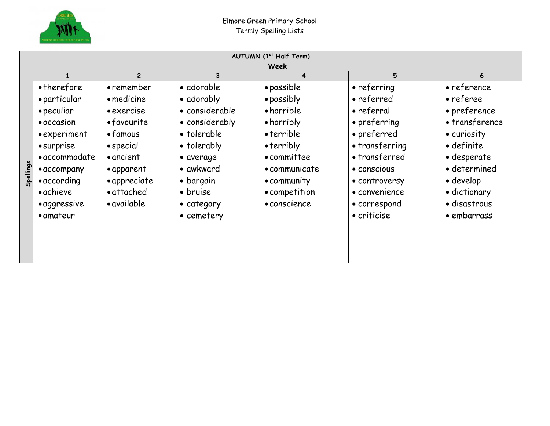

| Week<br>$\overline{2}$<br>3<br>4<br>• therefore<br>• adorable<br>· possible<br>• referring<br>• remember<br>• particular<br>• possibly<br>• referred<br>• medicine<br>• adorably                                                                                                                                                                                                                                                                                                                                                                                                                                                                                                                                                                                                    | 5<br>6<br>• reference                                                                                                                                                       |
|-------------------------------------------------------------------------------------------------------------------------------------------------------------------------------------------------------------------------------------------------------------------------------------------------------------------------------------------------------------------------------------------------------------------------------------------------------------------------------------------------------------------------------------------------------------------------------------------------------------------------------------------------------------------------------------------------------------------------------------------------------------------------------------|-----------------------------------------------------------------------------------------------------------------------------------------------------------------------------|
|                                                                                                                                                                                                                                                                                                                                                                                                                                                                                                                                                                                                                                                                                                                                                                                     |                                                                                                                                                                             |
|                                                                                                                                                                                                                                                                                                                                                                                                                                                                                                                                                                                                                                                                                                                                                                                     |                                                                                                                                                                             |
| • horrible<br>• peculiar<br>• considerable<br>• referral<br>• exercise<br>• considerably<br>• horribly<br>• favourite<br>• preferring<br>• occasion<br>• preferred<br>• tolerable<br>• terrible<br>• experiment<br>$\bullet$ famous<br>• transferring<br>$\bullet$ terribly<br>$\bullet$ special<br>• tolerably<br>• surprise<br>• transferred<br>• accommodate<br>• ancient<br>• committee<br>• average<br>Spellings<br>• awkward<br>• apparent<br>• communicate<br>· conscious<br>• accompany<br>• appreciate<br>• bargain<br>$\bullet$ according<br>• community<br>• controversy<br>• attached<br>• achieve<br>• bruise<br>• competition<br>• convenience<br>• available<br>• conscience<br>• aggressive<br>• correspond<br>• category<br>• criticise<br>• amateur<br>• cemetery | • referee<br>• preference<br>• transference<br>• curiosity<br>• definite<br>• desperate<br>· determined<br>$\bullet$ develop<br>• dictionary<br>· disastrous<br>• embarrass |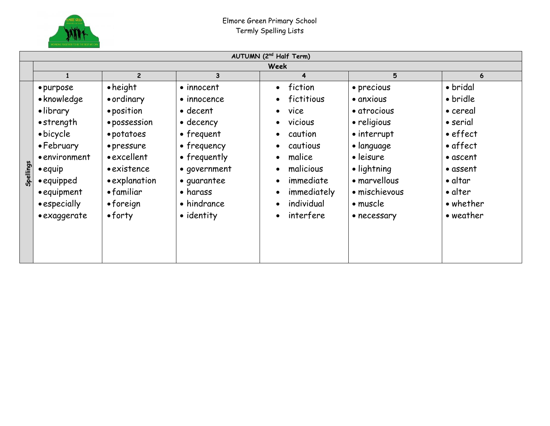

|           | AUTUMN (2 <sup>nd</sup> Half Term)                                                                                                                                                      |                                                                                                                                                                                               |                                                                                                                                                                                                                 |                                                                                                                                                                                                                                                                                                           |                                                                                                                                                                                            |                                                                                                                                                                              |  |
|-----------|-----------------------------------------------------------------------------------------------------------------------------------------------------------------------------------------|-----------------------------------------------------------------------------------------------------------------------------------------------------------------------------------------------|-----------------------------------------------------------------------------------------------------------------------------------------------------------------------------------------------------------------|-----------------------------------------------------------------------------------------------------------------------------------------------------------------------------------------------------------------------------------------------------------------------------------------------------------|--------------------------------------------------------------------------------------------------------------------------------------------------------------------------------------------|------------------------------------------------------------------------------------------------------------------------------------------------------------------------------|--|
|           | Week                                                                                                                                                                                    |                                                                                                                                                                                               |                                                                                                                                                                                                                 |                                                                                                                                                                                                                                                                                                           |                                                                                                                                                                                            |                                                                                                                                                                              |  |
|           |                                                                                                                                                                                         | $\overline{2}$                                                                                                                                                                                | 3                                                                                                                                                                                                               | 4                                                                                                                                                                                                                                                                                                         | 5                                                                                                                                                                                          | 6                                                                                                                                                                            |  |
| Spellings | • purpose<br>• knowledge<br>• library<br>$\bullet$ strength<br>• bicycle<br>• February<br>• environment<br>$\bullet$ equip<br>• equipped<br>• equipment<br>• especially<br>• exaggerate | $\bullet$ height<br>• ordinary<br>• position<br>· possession<br>• potatoes<br>• pressure<br>• excellent<br>• existence<br>• explanation<br>• familiar<br>$\bullet$ foreign<br>$\bullet$ forty | • innocent<br>$\bullet$ innocence<br>$\bullet$ decent<br>$\bullet$ decency<br>$\bullet$ frequent<br>• frequency<br>• frequently<br>• government<br>• quarantee<br>$\bullet$ harass<br>• hindrance<br>• identity | fiction<br>$\bullet$<br>fictitious<br>$\bullet$<br>vice<br>$\bullet$<br>vicious<br>$\bullet$<br>caution<br>$\bullet$<br>cautious<br>$\bullet$<br>malice<br>$\bullet$<br>malicious<br>$\bullet$<br>immediate<br>$\bullet$<br>immediately<br>$\bullet$<br>individual<br>$\bullet$<br>interfere<br>$\bullet$ | • precious<br>• anxious<br>• atrocious<br>• religious<br>• interrupt<br>$\bullet$ language<br>• leisure<br>· lightning<br>• marvellous<br>• mischievous<br>$\bullet$ muscle<br>• necessary | • bridal<br>• bridle<br>• cereal<br>• serial<br>$\bullet$ effect<br>$\bullet$ affect<br>$\bullet$ ascent<br>• assent<br>• altar<br>$\bullet$ alter<br>• whether<br>• weather |  |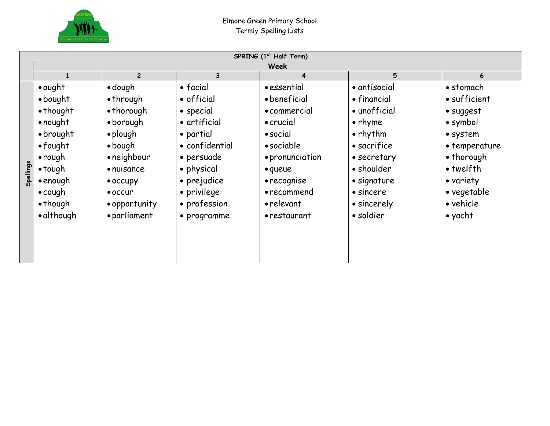

|           | SPRING (1 <sup>st</sup> Half Term) |                    |                  |                   |                  |                   |  |
|-----------|------------------------------------|--------------------|------------------|-------------------|------------------|-------------------|--|
| Week      |                                    |                    |                  |                   |                  |                   |  |
|           |                                    | $\mathbf{2}$       | 3                | 4                 | 5                |                   |  |
|           | $\bullet$ ought                    | $\bullet$ dough    | $\bullet$ facial | • essential       | • antisocial     | • stomach         |  |
|           | $\bullet$ bought                   | $\bullet$ through  | • official       | • beneficial      | • financial      | • sufficient      |  |
|           | • thought                          | $\bullet$ thorough | • special        | • commercial      | • unofficial     | · suggest         |  |
|           | $\bullet$ nought                   | $\bullet$ borough  | • artificial     | $\bullet$ crucial | $\bullet$ rhyme  | $\bullet$ symbol  |  |
|           | $\bullet$ brought                  | $\bullet$ plough   | • partial        | $\bullet$ social  | $\bullet$ rhythm | • system          |  |
|           | $\bullet$ fought                   | $\bullet$ bough    | • confidential   | • sociable        | • sacrifice      | • temperature     |  |
|           | $\bullet$ rough                    | • neighbour        | • persuade       | • pronunciation   | • secretary      | • thorough        |  |
|           | $\bullet$ tough                    | $\bullet$ nuisance | • physical       | • queue           | • shoulder       | $\bullet$ twelfth |  |
| Spellings | $\bullet$ enough                   | $\bullet$ occupy   | • prejudice      | • recognise       | · signature      | • variety         |  |
|           | $\bullet$ cough                    | $\bullet$ occur    | • privilege      | • recommend       | • sincere        | • vegetable       |  |
|           | $\bullet$ though                   | • opportunity      | • profession     | • relevant        | • sincerely      | • vehicle         |  |
|           | • although                         | • parliament       | • programme      | • restaurant      | · soldier        | $\bullet$ yacht   |  |
|           |                                    |                    |                  |                   |                  |                   |  |
|           |                                    |                    |                  |                   |                  |                   |  |
|           |                                    |                    |                  |                   |                  |                   |  |
|           |                                    |                    |                  |                   |                  |                   |  |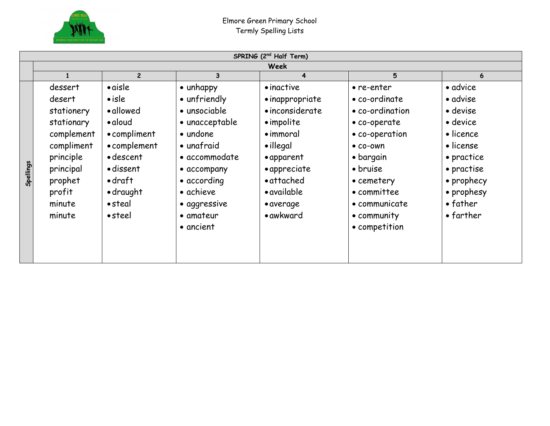

|           | SPRING (2 <sup>nd</sup> Half Term)                                                                                                 |                                                                                                                                                                                        |                                                                                                                                                                                   |                                                                                                                                                                                          |                                                                                                                                                                                     |                                                                                                                                                            |  |  |
|-----------|------------------------------------------------------------------------------------------------------------------------------------|----------------------------------------------------------------------------------------------------------------------------------------------------------------------------------------|-----------------------------------------------------------------------------------------------------------------------------------------------------------------------------------|------------------------------------------------------------------------------------------------------------------------------------------------------------------------------------------|-------------------------------------------------------------------------------------------------------------------------------------------------------------------------------------|------------------------------------------------------------------------------------------------------------------------------------------------------------|--|--|
|           | <b>Week</b>                                                                                                                        |                                                                                                                                                                                        |                                                                                                                                                                                   |                                                                                                                                                                                          |                                                                                                                                                                                     |                                                                                                                                                            |  |  |
|           |                                                                                                                                    | $\mathbf{2}$                                                                                                                                                                           | 3                                                                                                                                                                                 | 4                                                                                                                                                                                        | 5                                                                                                                                                                                   | 6                                                                                                                                                          |  |  |
| Spellings | dessert<br>desert<br>stationery<br>stationary<br>complement<br>compliment<br>principle<br>principal<br>prophet<br>profit<br>minute | $\bullet$ aisle<br>$\bullet$ isle<br>• allowed<br>$\bullet$ aloud<br>• compliment<br>• complement<br>• descent<br>• dissent<br>$\bullet$ draft<br>$\bullet$ draught<br>$\bullet$ steal | $\bullet$ unhappy<br>• unfriendly<br>• unsociable<br>• unacceptable<br>$\bullet$ undone<br>• unafraid<br>• accommodate<br>• accompany<br>• according<br>• achieve<br>• aggressive | $\bullet$ inactive<br>• inappropriate<br>• inconsiderate<br>• impolite<br>$\bullet$ immoral<br>$\bullet$ illegal<br>• apparent<br>• appreciate<br>• attached<br>• available<br>• average | • re-enter<br>• co-ordinate<br>• co-ordination<br>• co-operate<br>• co-operation<br>$\bullet$ co-own<br>$\bullet$ bargain<br>• bruise<br>• cemetery<br>• committee<br>• communicate | • advice<br>• advise<br>• devise<br>$\bullet$ device<br>• licence<br>• license<br>• practice<br>• practise<br>• prophecy<br>• prophesy<br>$\bullet$ father |  |  |
|           | minute                                                                                                                             | $\bullet$ steel                                                                                                                                                                        | $\bullet$ amateur<br>• ancient                                                                                                                                                    | • awkward                                                                                                                                                                                | • community<br>• competition                                                                                                                                                        | $\bullet$ farther                                                                                                                                          |  |  |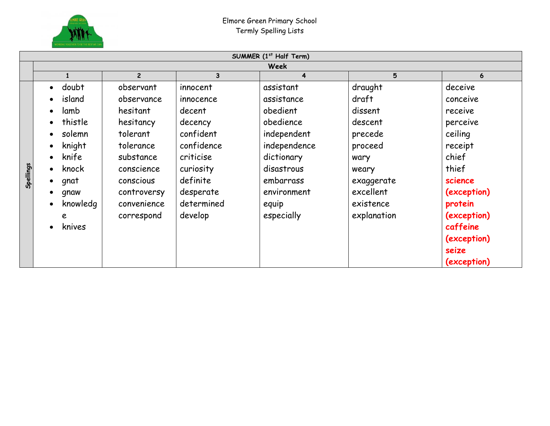

|           | SUMMER (1st Half Term)                                                                                                                                                                                                                 |                                                                                                                                                 |                                                                                                                                        |                                                                                                                                                  |                                                                                                                       |                                                                                                                         |  |  |
|-----------|----------------------------------------------------------------------------------------------------------------------------------------------------------------------------------------------------------------------------------------|-------------------------------------------------------------------------------------------------------------------------------------------------|----------------------------------------------------------------------------------------------------------------------------------------|--------------------------------------------------------------------------------------------------------------------------------------------------|-----------------------------------------------------------------------------------------------------------------------|-------------------------------------------------------------------------------------------------------------------------|--|--|
|           | <b>Week</b>                                                                                                                                                                                                                            |                                                                                                                                                 |                                                                                                                                        |                                                                                                                                                  |                                                                                                                       |                                                                                                                         |  |  |
|           | $\mathbf{1}$                                                                                                                                                                                                                           | $\overline{2}$                                                                                                                                  | 3                                                                                                                                      | 4                                                                                                                                                | 5                                                                                                                     | 6                                                                                                                       |  |  |
| Spellings | doubt<br>$\bullet$<br>island<br>$\bullet$<br>lamb<br>$\bullet$<br>thistle<br>$\bullet$<br>solemn<br>$\bullet$<br>knight<br>$\bullet$<br>knife<br>$\bullet$<br>knock<br>$\bullet$<br>gnat<br>$\bullet$<br>gnaw<br>knowledg<br>$\bullet$ | observant<br>observance<br>hesitant<br>hesitancy<br>tolerant<br>tolerance<br>substance<br>conscience<br>conscious<br>controversy<br>convenience | innocent<br>innocence<br>decent<br>decency<br>confident<br>confidence<br>criticise<br>curiosity<br>definite<br>desperate<br>determined | assistant<br>assistance<br>obedient<br>obedience<br>independent<br>independence<br>dictionary<br>disastrous<br>embarrass<br>environment<br>equip | draught<br>draft<br>dissent<br>descent<br>precede<br>proceed<br>wary<br>weary<br>exaggerate<br>excellent<br>existence | deceive<br>conceive<br>receive<br>perceive<br>ceiling<br>receipt<br>chief<br>thief<br>science<br>(exception)<br>protein |  |  |
|           | e<br>knives<br>$\bullet$                                                                                                                                                                                                               | correspond                                                                                                                                      | develop                                                                                                                                | especially                                                                                                                                       | explanation                                                                                                           | (exception)<br>caffeine<br>(exception)<br>seize<br>(exception)                                                          |  |  |